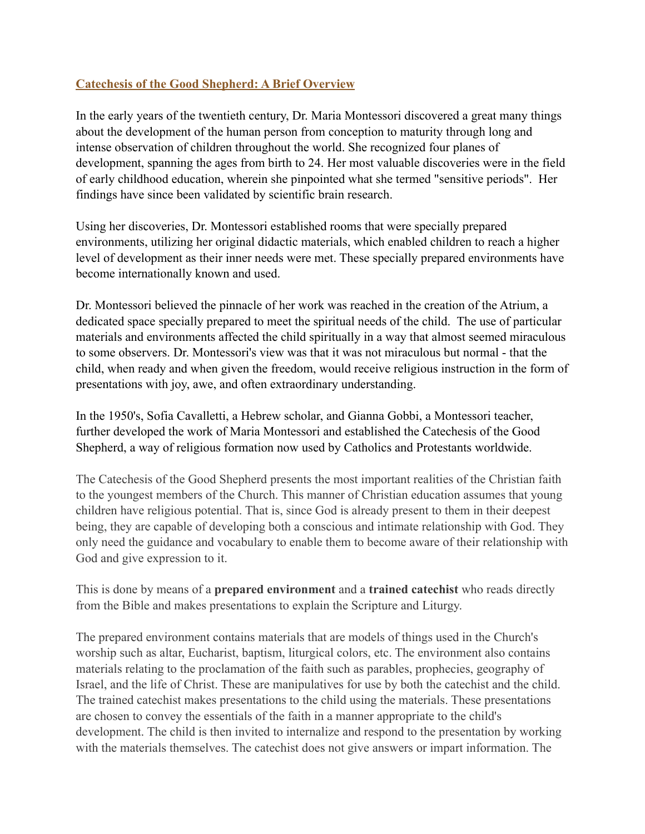## **Catechesis of the Good Shepherd: A Brief Overview**

In the early years of the twentieth century, Dr. Maria Montessori discovered a great many things about the development of the human person from conception to maturity through long and intense observation of children throughout the world. She recognized four planes of development, spanning the ages from birth to 24. Her most valuable discoveries were in the field of early childhood education, wherein she pinpointed what she termed "sensitive periods". Her findings have since been validated by scientific brain research.

Using her discoveries, Dr. Montessori established rooms that were specially prepared environments, utilizing her original didactic materials, which enabled children to reach a higher level of development as their inner needs were met. These specially prepared environments have become internationally known and used.

Dr. Montessori believed the pinnacle of her work was reached in the creation of the Atrium, a dedicated space specially prepared to meet the spiritual needs of the child. The use of particular materials and environments affected the child spiritually in a way that almost seemed miraculous to some observers. Dr. Montessori's view was that it was not miraculous but normal - that the child, when ready and when given the freedom, would receive religious instruction in the form of presentations with joy, awe, and often extraordinary understanding.

In the 1950's, Sofia Cavalletti, a Hebrew scholar, and Gianna Gobbi, a Montessori teacher, further developed the work of Maria Montessori and established the Catechesis of the Good Shepherd, a way of religious formation now used by Catholics and Protestants worldwide.

The Catechesis of the Good Shepherd presents the most important realities of the Christian faith to the youngest members of the Church. This manner of Christian education assumes that young children have religious potential. That is, since God is already present to them in their deepest being, they are capable of developing both a conscious and intimate relationship with God. They only need the guidance and vocabulary to enable them to become aware of their relationship with God and give expression to it.

This is done by means of a **prepared environment** and a **trained catechist** who reads directly from the Bible and makes presentations to explain the Scripture and Liturgy.

The prepared environment contains materials that are models of things used in the Church's worship such as altar, Eucharist, baptism, liturgical colors, etc. The environment also contains materials relating to the proclamation of the faith such as parables, prophecies, geography of Israel, and the life of Christ. These are manipulatives for use by both the catechist and the child. The trained catechist makes presentations to the child using the materials. These presentations are chosen to convey the essentials of the faith in a manner appropriate to the child's development. The child is then invited to internalize and respond to the presentation by working with the materials themselves. The catechist does not give answers or impart information. The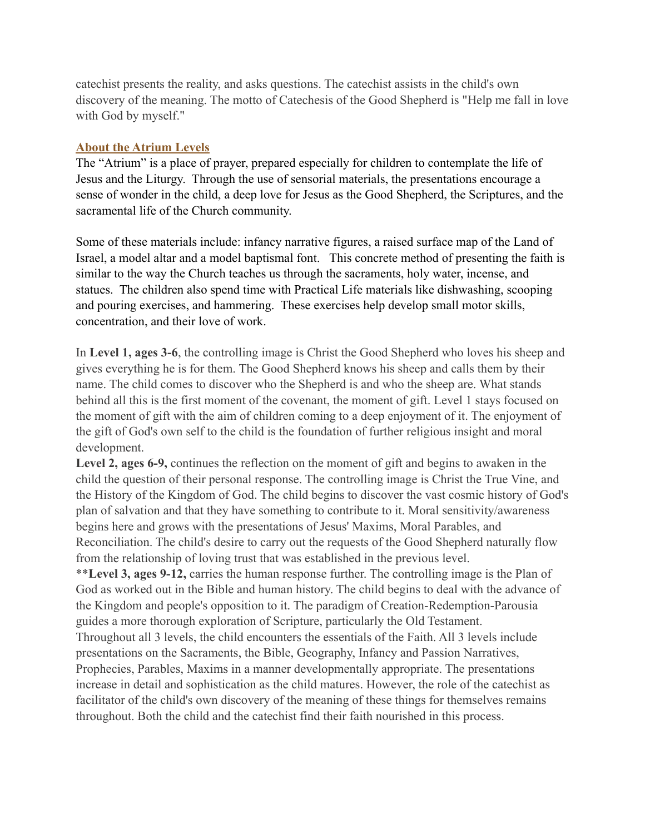catechist presents the reality, and asks questions. The catechist assists in the child's own discovery of the meaning. The motto of Catechesis of the Good Shepherd is "Help me fall in love with God by myself."

## **About the Atrium Levels**

The "Atrium" is a place of prayer, prepared especially for children to contemplate the life of Jesus and the Liturgy. Through the use of sensorial materials, the presentations encourage a sense of wonder in the child, a deep love for Jesus as the Good Shepherd, the Scriptures, and the sacramental life of the Church community.

Some of these materials include: infancy narrative figures, a raised surface map of the Land of Israel, a model altar and a model baptismal font. This concrete method of presenting the faith is similar to the way the Church teaches us through the sacraments, holy water, incense, and statues. The children also spend time with Practical Life materials like dishwashing, scooping and pouring exercises, and hammering. These exercises help develop small motor skills, concentration, and their love of work.

In **Level 1, ages 3-6**, the controlling image is Christ the Good Shepherd who loves his sheep and gives everything he is for them. The Good Shepherd knows his sheep and calls them by their name. The child comes to discover who the Shepherd is and who the sheep are. What stands behind all this is the first moment of the covenant, the moment of gift. Level 1 stays focused on the moment of gift with the aim of children coming to a deep enjoyment of it. The enjoyment of the gift of God's own self to the child is the foundation of further religious insight and moral development.

**Level 2, ages 6-9,** continues the reflection on the moment of gift and begins to awaken in the child the question of their personal response. The controlling image is Christ the True Vine, and the History of the Kingdom of God. The child begins to discover the vast cosmic history of God's plan of salvation and that they have something to contribute to it. Moral sensitivity/awareness begins here and grows with the presentations of Jesus' Maxims, Moral Parables, and Reconciliation. The child's desire to carry out the requests of the Good Shepherd naturally flow from the relationship of loving trust that was established in the previous level.

\*\***Level 3, ages 9-12,** carries the human response further. The controlling image is the Plan of God as worked out in the Bible and human history. The child begins to deal with the advance of the Kingdom and people's opposition to it. The paradigm of Creation-Redemption-Parousia guides a more thorough exploration of Scripture, particularly the Old Testament. Throughout all 3 levels, the child encounters the essentials of the Faith. All 3 levels include presentations on the Sacraments, the Bible, Geography, Infancy and Passion Narratives, Prophecies, Parables, Maxims in a manner developmentally appropriate. The presentations increase in detail and sophistication as the child matures. However, the role of the catechist as facilitator of the child's own discovery of the meaning of these things for themselves remains throughout. Both the child and the catechist find their faith nourished in this process.